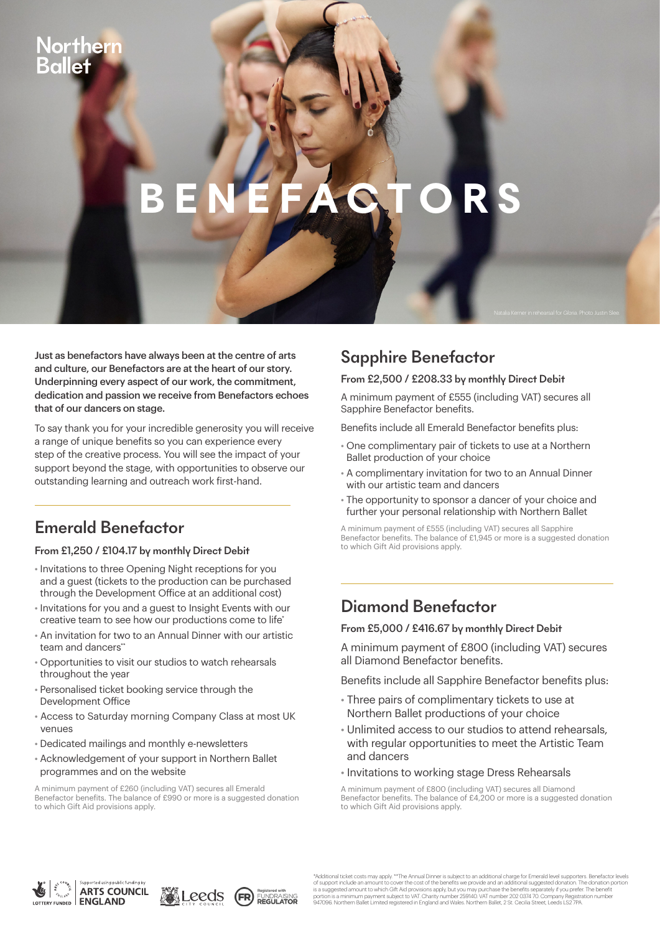## therr

# **BENEFACTORS**

Just as benefactors have always been at the centre of arts and culture, our Benefactors are at the heart of our story. Underpinning every aspect of our work, the commitment, dedication and passion we receive from Benefactors echoes that of our dancers on stage.

To say thank you for your incredible generosity you will receive a range of unique benefits so you can experience every step of the creative process. You will see the impact of your support beyond the stage, with opportunities to observe our outstanding learning and outreach work first-hand.

## Emerald Benefactor

#### From £1,250 / £104.17 by monthly Direct Debit

- Invitations to three Opening Night receptions for you and a guest (tickets to the production can be purchased through the Development Office at an additional cost)
- Invitations for you and a guest to Insight Events with our creative team to see how our productions come to life\*
- An invitation for two to an Annual Dinner with our artistic team and dancers<sup>\*</sup>
- Opportunities to visit our studios to watch rehearsals throughout the year
- Personalised ticket booking service through the Development Office
- Access to Saturday morning Company Class at most UK venues
- Dedicated mailings and monthly e-newsletters
- Acknowledgement of your support in Northern Ballet programmes and on the website

A minimum payment of £260 (including VAT) secures all Emerald Benefactor benefits. The balance of £990 or more is a suggested donation to which Gift Aid provisions apply.

### Sapphire Benefactor

#### From £2,500 / £208.33 by monthly Direct Debit

A minimum payment of £555 (including VAT) secures all Sapphire Benefactor benefits.

Benefits include all Emerald Benefactor benefits plus:

- One complimentary pair of tickets to use at a Northern Ballet production of your choice
- A complimentary invitation for two to an Annual Dinner with our artistic team and dancers
- The opportunity to sponsor a dancer of your choice and further your personal relationship with Northern Ballet

A minimum payment of £555 (including VAT) secures all Sapphire Benefactor benefits. The balance of £1,945 or more is a suggested donation to which Gift Aid provisions apply.

#### Diamond Benefactor

From £5,000 / £416.67 by monthly Direct Debit

A minimum payment of £800 (including VAT) secures all Diamond Benefactor benefits.

Benefits include all Sapphire Benefactor benefits plus:

- Three pairs of complimentary tickets to use at Northern Ballet productions of your choice
- Unlimited access to our studios to attend rehearsals, with regular opportunities to meet the Artistic Team and dancers
- Invitations to working stage Dress Rehearsals

A minimum payment of £800 (including VAT) secures all Diamond Benefactor benefits. The balance of £4,200 or more is a suggested donation to which Gift Aid provisions apply.







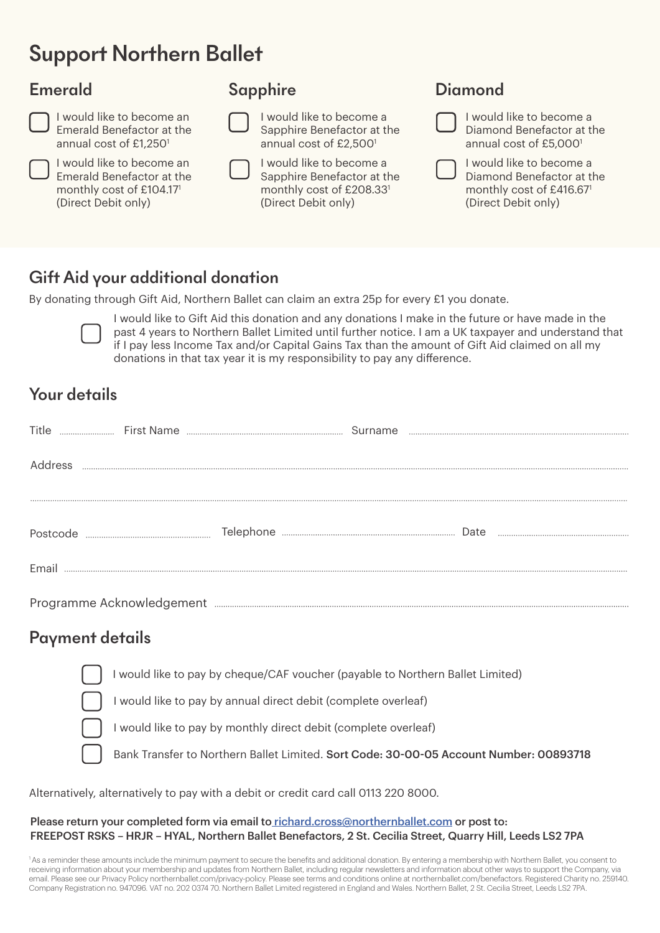## Support Northern Ballet

#### Emerald



I would like to become an Emerald Benefactor at the annual cost of £1,2501

I would like to become an Emerald Benefactor at the monthly cost of £104.171 (Direct Debit only)

### Sapphire



I would like to become a Sapphire Benefactor at the monthly cost of £208.331 Sapphire Benefactor at the annual cost of £2,5001

I would like to become a

(Direct Debit only)

**Diamond** 

I would like to become a Diamond Benefactor at the annual cost of £5,0001

I would like to become a Diamond Benefactor at the monthly cost of £416.671 (Direct Debit only)

### Gift Aid your additional donation

By donating through Gift Aid, Northern Ballet can claim an extra 25p for every £1 you donate.



I would like to Gift Aid this donation and any donations I make in the future or have made in the past 4 years to Northern Ballet Limited until further notice. I am a UK taxpayer and understand that if I pay less Income Tax and/or Capital Gains Tax than the amount of Gift Aid claimed on all my donations in that tax year it is my responsibility to pay any difference.

### Your details

| Title    |  | Surname |  |
|----------|--|---------|--|
| Address  |  |         |  |
|          |  |         |  |
| Postcode |  |         |  |
| Email    |  |         |  |
|          |  |         |  |

#### Payment details

I would like to pay by cheque/CAF voucher (payable to Northern Ballet Limited)

I would like to pay by annual direct debit (complete overleaf)

I would like to pay by monthly direct debit (complete overleaf)

Bank Transfer to Northern Ballet Limited. Sort Code: 30-00-05 Account Number: 00893718

Alternatively, alternatively to pay with a debit or credit card call 0113 220 8000.

#### Please return your completed form via email to richard.cross@northernballet.com or post to: FREEPOST RSKS – HRJR – HYAL, Northern Ballet Benefactors, 2 St. Cecilia Street, Quarry Hill, Leeds LS2 7PA

1 As a reminder these amounts include the minimum payment to secure the benefits and additional donation. By entering a membership with Northern Ballet, you consent to receiving information about your membership and updates from Northern Ballet, including regular newsletters and information about other ways to support the Company, via email. Please see our Privacy Policy northernballet.com/privacy-policy. Please see terms and conditions online at northernballet.com/benefactors. Registered Charity no. 259140. Company Registration no. 947096. VAT no. 202 0374 70. Northern Ballet Limited registered in England and Wales. Northern Ballet, 2 St. Cecilia Street, Leeds LS2 7PA.